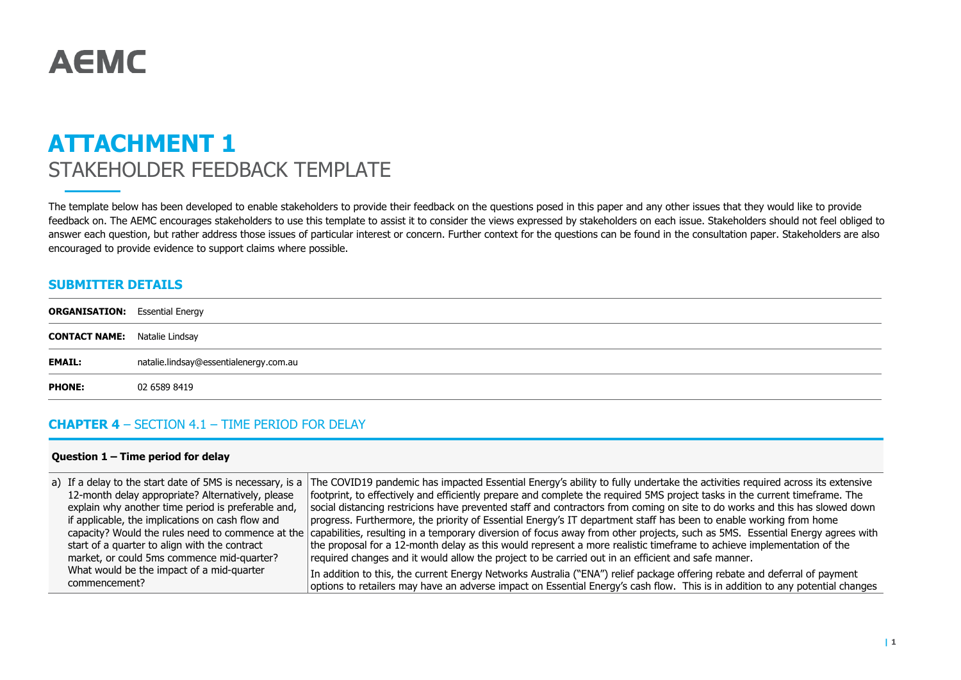# **AEMC**

## **ATTACHMENT 1** STAKEHOLDER FEEDBACK TEMPLATE

The template below has been developed to enable stakeholders to provide their feedback on the questions posed in this paper and any other issues that they would like to provide feedback on. The AEMC encourages stakeholders to use this template to assist it to consider the views expressed by stakeholders on each issue. Stakeholders should not feel obliged to answer each question, but rather address those issues of particular interest or concern. Further context for the questions can be found in the consultation paper. Stakeholders are also encouraged to provide evidence to support claims where possible.

#### **SUBMITTER DETAILS**

| <b>ORGANISATION:</b> Essential Energy |                                        |
|---------------------------------------|----------------------------------------|
| <b>CONTACT NAME:</b> Natalie Lindsay  |                                        |
| <b>EMAIL:</b>                         | natalie.lindsay@essentialenergy.com.au |
| <b>PHONE:</b>                         | 02 6589 8419                           |

#### **CHAPTER 4** – SECTION 4.1 – TIME PERIOD FOR DELAY

#### **Question 1 – Time period for delay**

|                                                    | a) If a delay to the start date of 5MS is necessary, is a The COVID19 pandemic has impacted Essential Energy's ability to fully undertake the activities required across its extensive |
|----------------------------------------------------|----------------------------------------------------------------------------------------------------------------------------------------------------------------------------------------|
| 12-month delay appropriate? Alternatively, please  | footprint, to effectively and efficiently prepare and complete the required 5MS project tasks in the current timeframe. The                                                            |
| explain why another time period is preferable and, | social distancing restricions have prevented staff and contractors from coming on site to do works and this has slowed down                                                            |
| if applicable, the implications on cash flow and   | progress. Furthermore, the priority of Essential Energy's IT department staff has been to enable working from home                                                                     |
|                                                    | capacity? Would the rules need to commence at the capabilities, resulting in a temporary diversion of focus away from other projects, such as 5MS. Essential Energy agrees with        |
| start of a quarter to align with the contract      | the proposal for a 12-month delay as this would represent a more realistic timeframe to achieve implementation of the                                                                  |
| market, or could 5ms commence mid-quarter?         | required changes and it would allow the project to be carried out in an efficient and safe manner.                                                                                     |
| What would be the impact of a mid-quarter          | In addition to this, the current Energy Networks Australia ("ENA") relief package offering rebate and deferral of payment                                                              |
| commencement?                                      | options to retailers may have an adverse impact on Essential Energy's cash flow. This is in addition to any potential changes                                                          |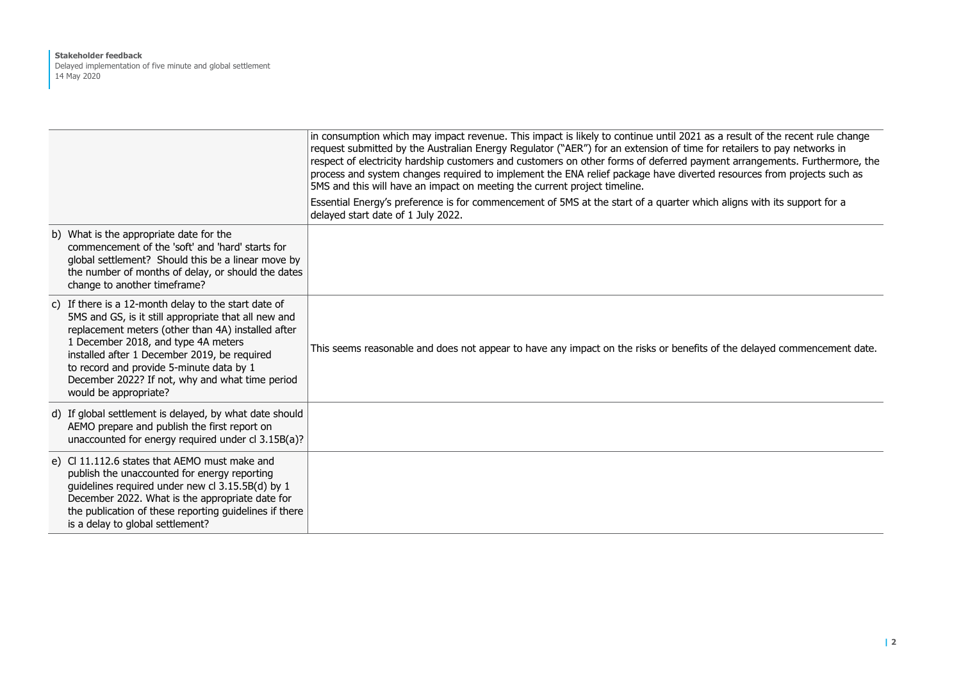#### **Stakeholder feedback** Delayed implementation of five minute and global settlement 14 May 2020

|                                                                                                                                                                                                                                                                                                                                                                                   | in consumption which may impact revenue. This impact is likely to continue until 2021 as a result of the recent rule change<br>request submitted by the Australian Energy Regulator ("AER") for an extension of time for retailers to pay networks in<br>respect of electricity hardship customers and customers on other forms of deferred payment arrangements. Furthermore, the<br>process and system changes required to implement the ENA relief package have diverted resources from projects such as<br>5MS and this will have an impact on meeting the current project timeline.<br>Essential Energy's preference is for commencement of 5MS at the start of a quarter which aligns with its support for a<br>delayed start date of 1 July 2022. |
|-----------------------------------------------------------------------------------------------------------------------------------------------------------------------------------------------------------------------------------------------------------------------------------------------------------------------------------------------------------------------------------|----------------------------------------------------------------------------------------------------------------------------------------------------------------------------------------------------------------------------------------------------------------------------------------------------------------------------------------------------------------------------------------------------------------------------------------------------------------------------------------------------------------------------------------------------------------------------------------------------------------------------------------------------------------------------------------------------------------------------------------------------------|
| b) What is the appropriate date for the<br>commencement of the 'soft' and 'hard' starts for<br>global settlement? Should this be a linear move by<br>the number of months of delay, or should the dates<br>change to another timeframe?                                                                                                                                           |                                                                                                                                                                                                                                                                                                                                                                                                                                                                                                                                                                                                                                                                                                                                                          |
| c) If there is a 12-month delay to the start date of<br>5MS and GS, is it still appropriate that all new and<br>replacement meters (other than 4A) installed after<br>1 December 2018, and type 4A meters<br>installed after 1 December 2019, be required<br>to record and provide 5-minute data by 1<br>December 2022? If not, why and what time period<br>would be appropriate? | This seems reasonable and does not appear to have any impact on the risks or benefits of the delayed commencement date.                                                                                                                                                                                                                                                                                                                                                                                                                                                                                                                                                                                                                                  |
| d) If global settlement is delayed, by what date should<br>AEMO prepare and publish the first report on<br>unaccounted for energy required under cl 3.15B(a)?                                                                                                                                                                                                                     |                                                                                                                                                                                                                                                                                                                                                                                                                                                                                                                                                                                                                                                                                                                                                          |
| e) Cl 11.112.6 states that AEMO must make and<br>publish the unaccounted for energy reporting<br>guidelines required under new cl 3.15.5B(d) by 1<br>December 2022. What is the appropriate date for<br>the publication of these reporting guidelines if there<br>is a delay to global settlement?                                                                                |                                                                                                                                                                                                                                                                                                                                                                                                                                                                                                                                                                                                                                                                                                                                                          |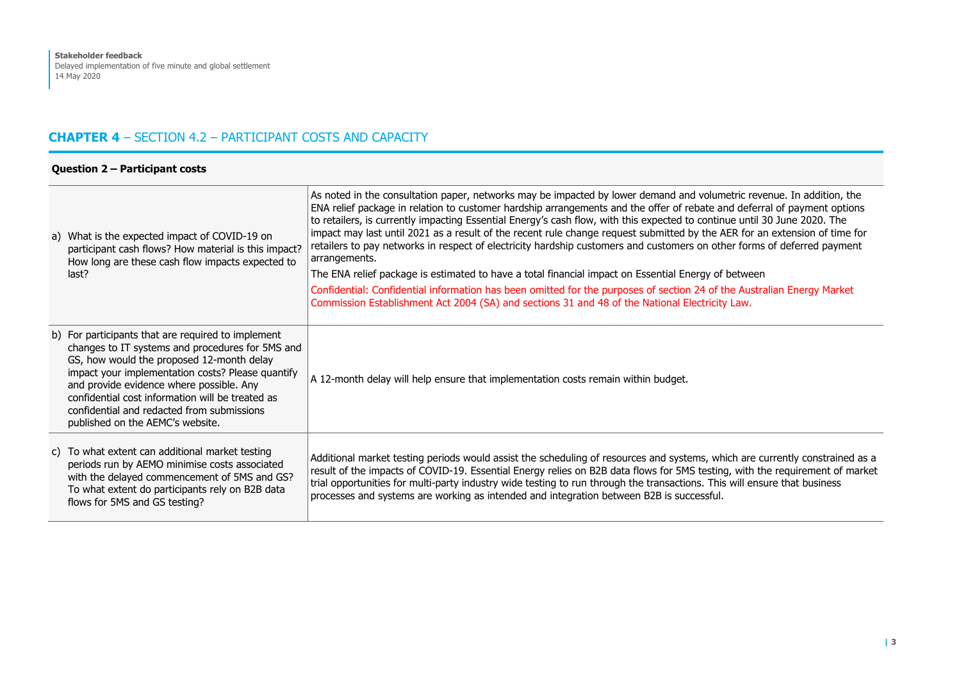#### **CHAPTER 4** – SECTION 4.2 – PARTICIPANT COSTS AND CAPACITY

|  |  | Question 2 - Participant costs |  |
|--|--|--------------------------------|--|
|--|--|--------------------------------|--|

| a) What is the expected impact of COVID-19 on<br>participant cash flows? How material is this impact?<br>How long are these cash flow impacts expected to<br>last?                                                                                                                                                                                                                         | As noted in the consultation paper, networks may be impacted by lower demand and volumetric revenue. In addition, the<br>ENA relief package in relation to customer hardship arrangements and the offer of rebate and deferral of payment options<br>to retailers, is currently impacting Essential Energy's cash flow, with this expected to continue until 30 June 2020. The<br>impact may last until 2021 as a result of the recent rule change request submitted by the AER for an extension of time for<br>retailers to pay networks in respect of electricity hardship customers and customers on other forms of deferred payment<br>arrangements.<br>The ENA relief package is estimated to have a total financial impact on Essential Energy of between<br>Confidential: Confidential information has been omitted for the purposes of section 24 of the Australian Energy Market<br>Commission Establishment Act 2004 (SA) and sections 31 and 48 of the National Electricity Law. |
|--------------------------------------------------------------------------------------------------------------------------------------------------------------------------------------------------------------------------------------------------------------------------------------------------------------------------------------------------------------------------------------------|---------------------------------------------------------------------------------------------------------------------------------------------------------------------------------------------------------------------------------------------------------------------------------------------------------------------------------------------------------------------------------------------------------------------------------------------------------------------------------------------------------------------------------------------------------------------------------------------------------------------------------------------------------------------------------------------------------------------------------------------------------------------------------------------------------------------------------------------------------------------------------------------------------------------------------------------------------------------------------------------|
| b) For participants that are required to implement<br>changes to IT systems and procedures for 5MS and<br>GS, how would the proposed 12-month delay<br>impact your implementation costs? Please quantify<br>and provide evidence where possible. Any<br>confidential cost information will be treated as<br>confidential and redacted from submissions<br>published on the AEMC's website. | A 12-month delay will help ensure that implementation costs remain within budget.                                                                                                                                                                                                                                                                                                                                                                                                                                                                                                                                                                                                                                                                                                                                                                                                                                                                                                           |
| c) To what extent can additional market testing<br>periods run by AEMO minimise costs associated<br>with the delayed commencement of 5MS and GS?<br>To what extent do participants rely on B2B data<br>flows for 5MS and GS testing?                                                                                                                                                       | Additional market testing periods would assist the scheduling of resources and systems, which are currently constrained as a<br>result of the impacts of COVID-19. Essential Energy relies on B2B data flows for 5MS testing, with the requirement of market<br>trial opportunities for multi-party industry wide testing to run through the transactions. This will ensure that business<br>processes and systems are working as intended and integration between B2B is successful.                                                                                                                                                                                                                                                                                                                                                                                                                                                                                                       |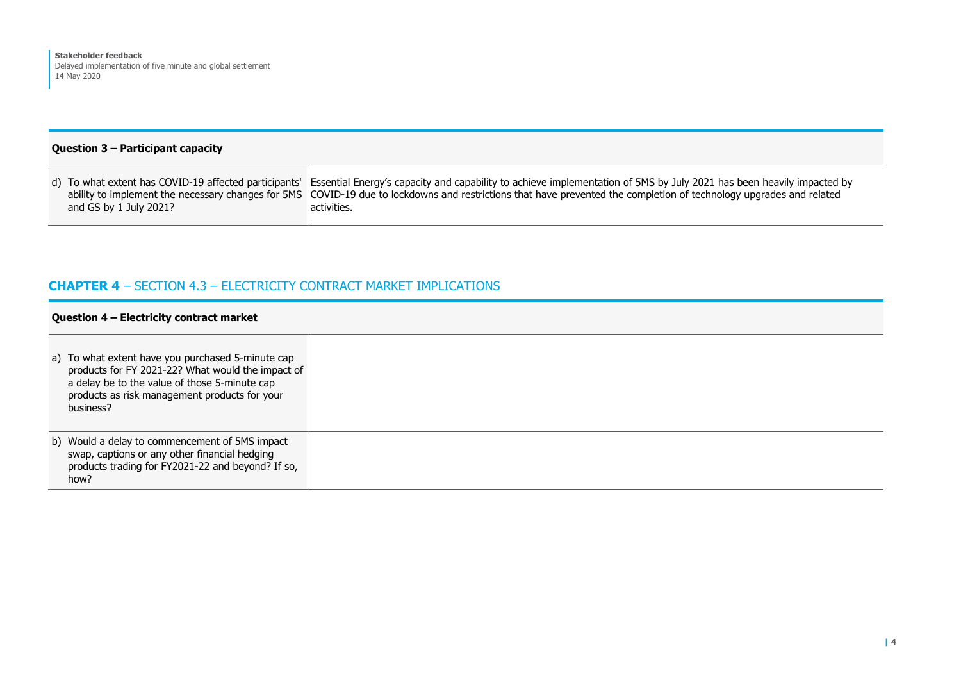#### **Question 3 – Participant capacity**

| and GS by 1 July 2021? | d) To what extent has COVID-19 affected participants' Essential Energy's capacity and capability to achieve implementation of 5MS by July 2021 has been heavily impacted by<br>ability to implement the necessary changes for 5MS COVID-19 due to lockdowns and restrictions that have prevented the completion of technology upgrades and related<br>activities. |
|------------------------|-------------------------------------------------------------------------------------------------------------------------------------------------------------------------------------------------------------------------------------------------------------------------------------------------------------------------------------------------------------------|
|                        |                                                                                                                                                                                                                                                                                                                                                                   |

#### **CHAPTER 4** – SECTION 4.3 – ELECTRICITY CONTRACT MARKET IMPLICATIONS

#### **Question 4 – Electricity contract market**

| a) To what extent have you purchased 5-minute cap<br>products for FY 2021-22? What would the impact of<br>a delay be to the value of those 5-minute cap<br>products as risk management products for your<br>business? |  |
|-----------------------------------------------------------------------------------------------------------------------------------------------------------------------------------------------------------------------|--|
| b) Would a delay to commencement of 5MS impact<br>swap, captions or any other financial hedging<br>products trading for FY2021-22 and beyond? If so,<br>how?                                                          |  |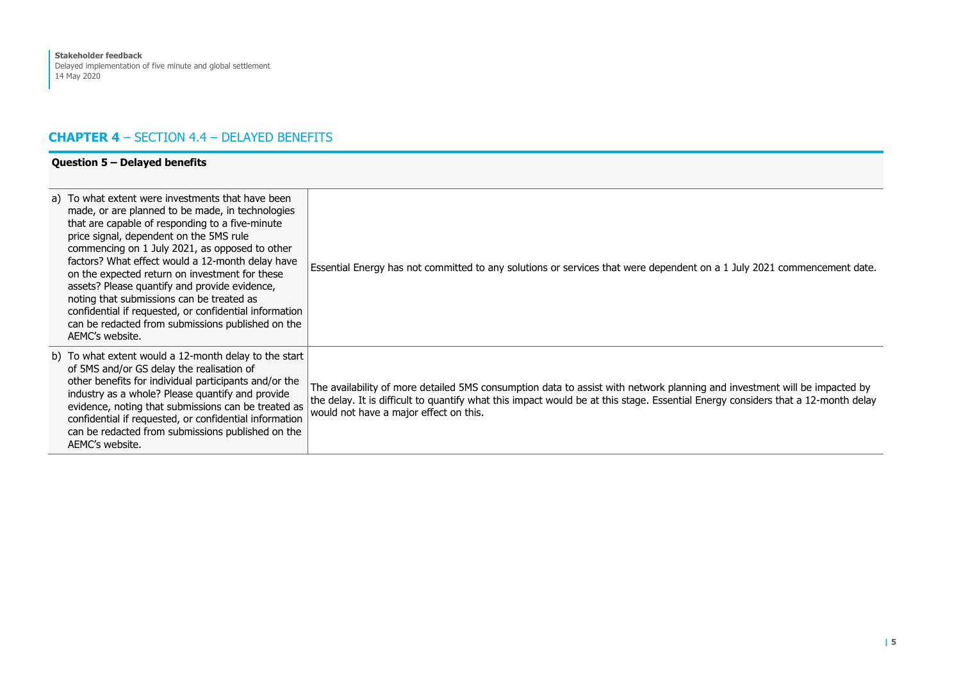#### **CHAPTER 4** – SECTION 4.4 – DELAYED BENEFITS

#### **Question 5 – Delayed benefits**

| a) To what extent were investments that have been<br>made, or are planned to be made, in technologies<br>that are capable of responding to a five-minute<br>price signal, dependent on the 5MS rule<br>commencing on 1 July 2021, as opposed to other<br>factors? What effect would a 12-month delay have<br>on the expected return on investment for these<br>assets? Please quantify and provide evidence,<br>noting that submissions can be treated as<br>confidential if requested, or confidential information<br>can be redacted from submissions published on the<br>AEMC's website. | Essential Energy has not committed to any solutions or services that were dependent on a 1 July 2021 commencement date.                                                                                                                                                                                 |
|---------------------------------------------------------------------------------------------------------------------------------------------------------------------------------------------------------------------------------------------------------------------------------------------------------------------------------------------------------------------------------------------------------------------------------------------------------------------------------------------------------------------------------------------------------------------------------------------|---------------------------------------------------------------------------------------------------------------------------------------------------------------------------------------------------------------------------------------------------------------------------------------------------------|
| b) To what extent would a 12-month delay to the start<br>of 5MS and/or GS delay the realisation of<br>other benefits for individual participants and/or the<br>industry as a whole? Please quantify and provide<br>evidence, noting that submissions can be treated as<br>confidential if requested, or confidential information<br>can be redacted from submissions published on the<br>AEMC's website.                                                                                                                                                                                    | The availability of more detailed 5MS consumption data to assist with network planning and investment will be impacted by<br>the delay. It is difficult to quantify what this impact would be at this stage. Essential Energy considers that a 12-month delay<br>would not have a major effect on this. |